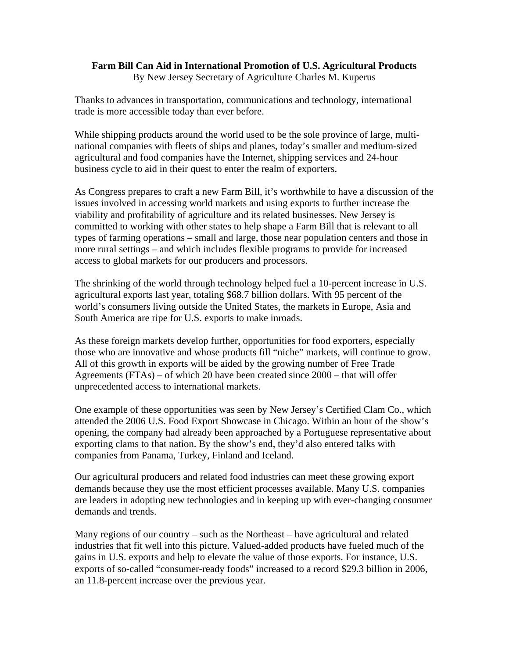## **Farm Bill Can Aid in International Promotion of U.S. Agricultural Products**

By New Jersey Secretary of Agriculture Charles M. Kuperus

Thanks to advances in transportation, communications and technology, international trade is more accessible today than ever before.

While shipping products around the world used to be the sole province of large, multinational companies with fleets of ships and planes, today's smaller and medium-sized agricultural and food companies have the Internet, shipping services and 24-hour business cycle to aid in their quest to enter the realm of exporters.

As Congress prepares to craft a new Farm Bill, it's worthwhile to have a discussion of the issues involved in accessing world markets and using exports to further increase the viability and profitability of agriculture and its related businesses. New Jersey is committed to working with other states to help shape a Farm Bill that is relevant to all types of farming operations – small and large, those near population centers and those in more rural settings – and which includes flexible programs to provide for increased access to global markets for our producers and processors.

The shrinking of the world through technology helped fuel a 10-percent increase in U.S. agricultural exports last year, totaling \$68.7 billion dollars. With 95 percent of the world's consumers living outside the United States, the markets in Europe, Asia and South America are ripe for U.S. exports to make inroads.

As these foreign markets develop further, opportunities for food exporters, especially those who are innovative and whose products fill "niche" markets, will continue to grow. All of this growth in exports will be aided by the growing number of Free Trade Agreements (FTAs) – of which 20 have been created since 2000 – that will offer unprecedented access to international markets.

One example of these opportunities was seen by New Jersey's Certified Clam Co., which attended the 2006 U.S. Food Export Showcase in Chicago. Within an hour of the show's opening, the company had already been approached by a Portuguese representative about exporting clams to that nation. By the show's end, they'd also entered talks with companies from Panama, Turkey, Finland and Iceland.

Our agricultural producers and related food industries can meet these growing export demands because they use the most efficient processes available. Many U.S. companies are leaders in adopting new technologies and in keeping up with ever-changing consumer demands and trends.

Many regions of our country – such as the Northeast – have agricultural and related industries that fit well into this picture. Valued-added products have fueled much of the gains in U.S. exports and help to elevate the value of those exports. For instance, U.S. exports of so-called "consumer-ready foods" increased to a record \$29.3 billion in 2006, an 11.8-percent increase over the previous year.